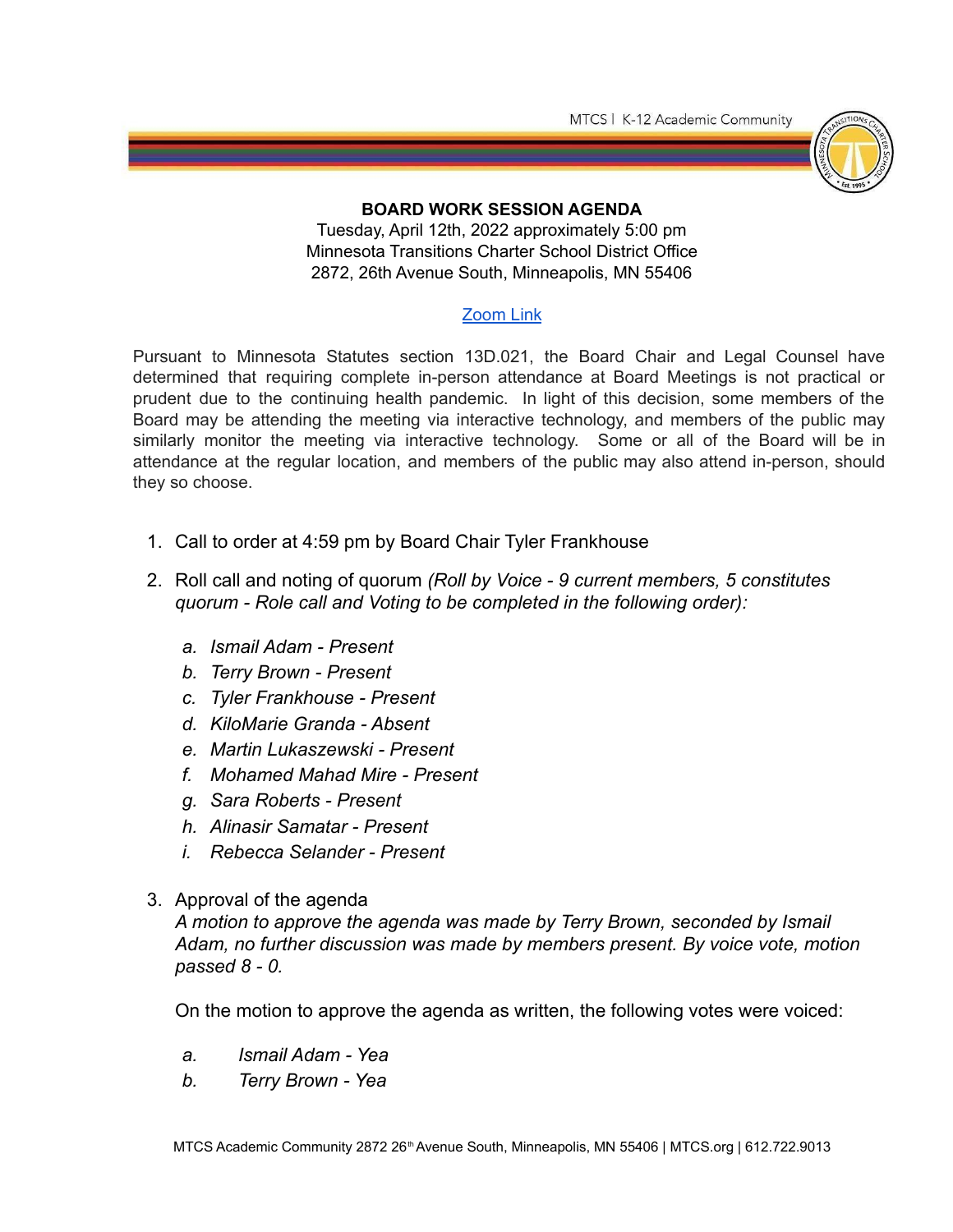MTCS | K-12 Academic Community



## **BOARD WORK SESSION AGENDA**

Tuesday, April 12th, 2022 approximately 5:00 pm Minnesota Transitions Charter School District Office 2872, 26th Avenue South, Minneapolis, MN 55406

## [Zoom](https://us05web.zoom.us/j/89072587599?pwd=Rm9kWWc5eVhYWnBnbnNLRTR5UkJ1UT09) Link

Pursuant to Minnesota Statutes section 13D.021, the Board Chair and Legal Counsel have determined that requiring complete in-person attendance at Board Meetings is not practical or prudent due to the continuing health pandemic. In light of this decision, some members of the Board may be attending the meeting via interactive technology, and members of the public may similarly monitor the meeting via interactive technology. Some or all of the Board will be in attendance at the regular location, and members of the public may also attend in-person, should they so choose.

- 1. Call to order at 4:59 pm by Board Chair Tyler Frankhouse
- 2. Roll call and noting of quorum *(Roll by Voice 9 current members, 5 constitutes quorum - Role call and Voting to be completed in the following order):*
	- *a. Ismail Adam Present*
	- *b. Terry Brown Present*
	- *c. Tyler Frankhouse Present*
	- *d. KiloMarie Granda Absent*
	- *e. Martin Lukaszewski Present*
	- *f. Mohamed Mahad Mire Present*
	- *g. Sara Roberts Present*
	- *h. Alinasir Samatar Present*
	- *i. Rebecca Selander Present*
- 3. Approval of the agenda

*A motion to approve the agenda was made by Terry Brown, seconded by Ismail Adam, no further discussion was made by members present. By voice vote, motion passed 8 - 0.*

On the motion to approve the agenda as written, the following votes were voiced:

- *a. Ismail Adam Yea*
- *b. Terry Brown Yea*